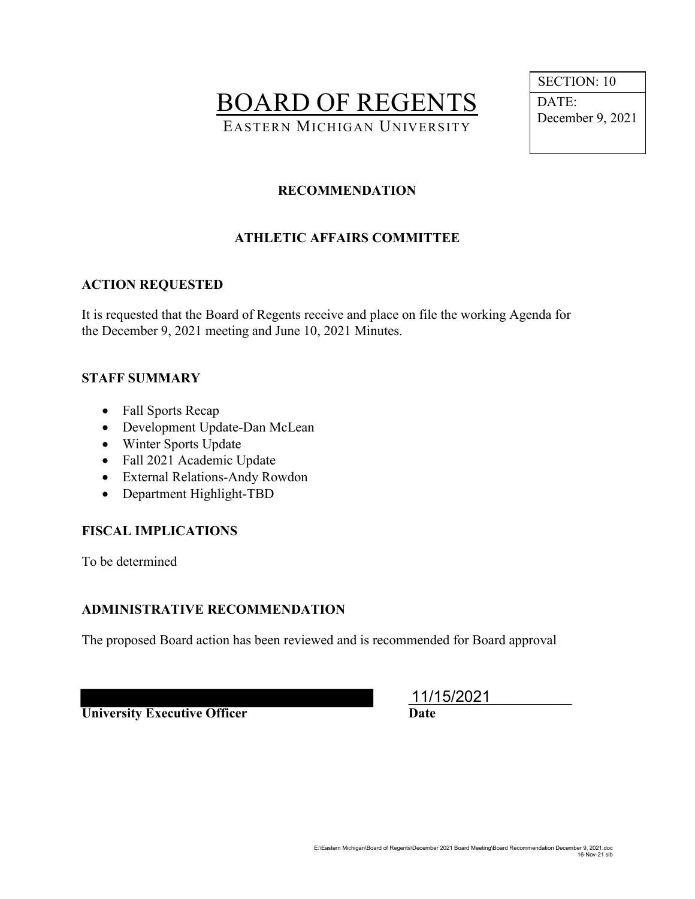BOARD OF REGENTS EASTERN MICHIGAN UNIVERSITY

 SECTION: 10 DATE: December 9, 2021

## **RECOMMENDATION**

# **ATHLETIC AFFAIRS COMMITTEE**

#### **ACTION REQUESTED**

It is requested that the Board of Regents receive and place on file the working Agenda for the December 9, 2021 meeting and June 10, 2021 Minutes.

#### **STAFF SUMMARY**

- Fall Sports Recap
- Development Update-Dan McLean
- Winter Sports Update
- Fall 2021 Academic Update
- External Relations-Andy Rowdon
- Department Highlight-TBD

## **FISCAL IMPLICATIONS**

To be determined

## **ADMINISTRATIVE RECOMMENDATION**

The proposed Board action has been reviewed and is recommended for Board approval

**University Executive Officer Date** 

\_\_\_\_\_\_\_\_\_\_\_\_\_\_\_\_\_\_\_\_\_\_\_\_ 11/15/2021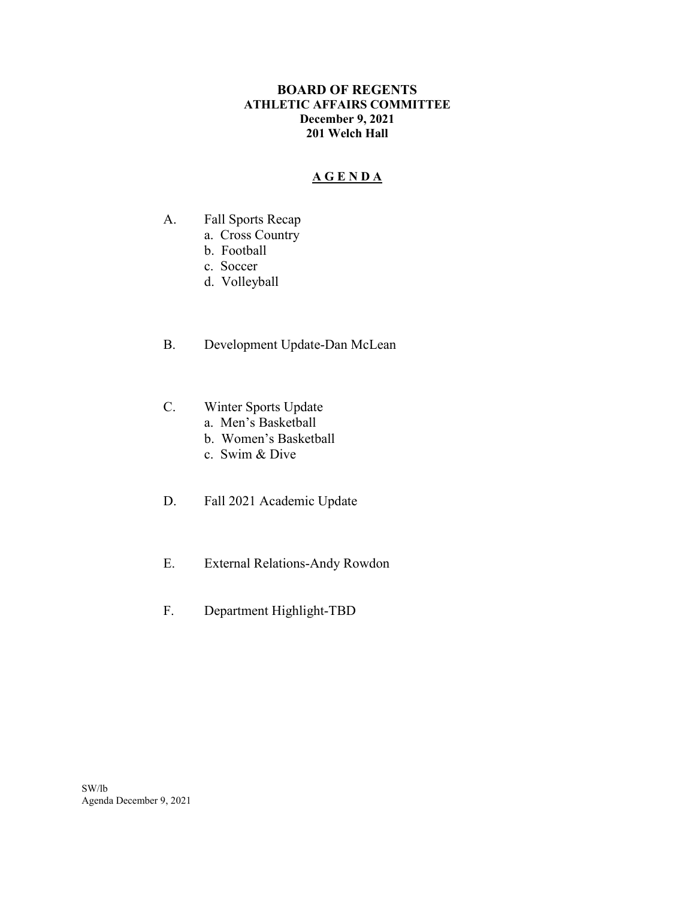#### **BOARD OF REGENTS ATHLETIC AFFAIRS COMMITTEE December 9, 2021 201 Welch Hall**

## **A G E N D A**

- A. Fall Sports Recap
	- a. Cross Country
	- b. Football
	- c. Soccer
	- d. Volleyball
- B. Development Update-Dan McLean
- C. Winter Sports Update
	- a. Men's Basketball
	- b. Women's Basketball
	- c. Swim & Dive
- D. Fall 2021 Academic Update
- E. External Relations-Andy Rowdon
- F. Department Highlight-TBD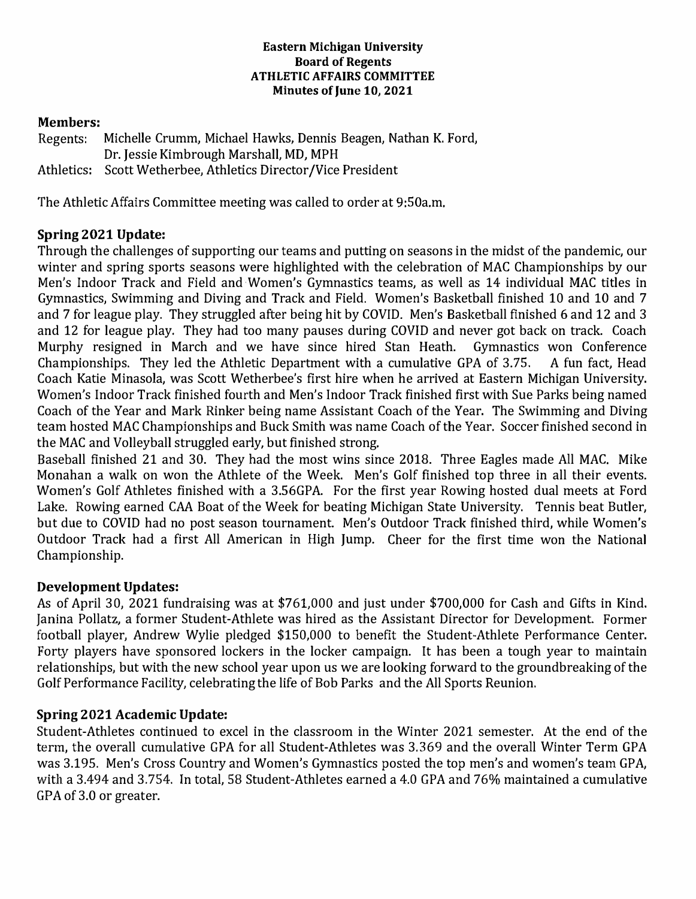#### **Eastern Michigan University Board of Regents ATHLETIC AFFAIRS COMMITTEE Minutes of June 10, 2021**

### **Members:**

Regents: Michelle Crumm, Michael Hawks, Dennis Beagen, Nathan K. Ford, Dr. Jessie Kimbrough Marshall, MD, MPH Athletics: Scott Wetherbee, Athletics Director/Vice President

The Athletic Affairs Committee meeting was called to order at 9:50a.m.

## **Spring 2021 Update:**

Through the challenges of supporting our teams and putting on seasons in the midst of the pandemic, our winter and spring sports seasons were highlighted with the celebration of MAC Championships by our Men's Indoor Track and Field and Women's Gymnastics teams, as well as 14 individual MAC titles in Gymnastics, Swimming and Diving and Track and Field. Women's Basketball finished 10 and 10 and 7 and 7 for league play. They struggled after being hit by COVID. Men's Basketball finished 6 and 12 and 3 and 12 for league play. They had too many pauses during COVID and never got back on track. Coach Murphy resigned in March and we have since hired Stan Heath. Gymnastics won Conference Championships. They led the Athletic Department with a cumulative GPA of 3.75. A fun fact, Head Coach Katie Minasola, was Scott Wetherbee's first hire when he arrived at Eastern Michigan University. Women's Indoor Track finished fourth and Men's Indoor Track finished first with Sue Parks being named Coach of the Year and Mark Rinker being name Assistant Coach of the Year. The Swimming and Diving team hosted MAC Championships and Buck Smith was name Coach of the Year. Soccer finished second in the MAC and Volleyball struggled early, but finished strong.

Baseball finished 21 and 30. They had the most wins since 2018. Three Eagles made All MAC. Mike Monahan a walk on won the Athlete of the Week. Men's Golf finished top three in all their events. Women's Golf Athletes finished with a 3.56GPA. For the first year Rowing hosted dual meets at Ford Lake. Rowing earned CAA Boat of the Week for beating Michigan State University. Tennis beat Butler, but due to COVID had no post season tournament. Men's Outdoor Track finished third, while Women's Outdoor Track had a first All American in High Jump. Cheer for the first time won the National Championship.

## **Development Updates:**

As of April 30, 2021 fundraising was at \$761,000 and just under \$700,000 for Cash and Gifts in Kind. Janina Pollatz, a former Student-Athlete was hired as the Assistant Director for Development. Former football player, Andrew Wylie pledged \$150,000 to benefit the Student-Athlete Performance Center. Forty players have sponsored lockers in the locker campaign. It has been a tough year to maintain relationships, but with the new school year upon us we are looking forward to the groundbreaking of the Golf Performance Facility, celebrating the life of Bob Parks and the All Sports Reunion.

## **Spring 2021 Academic Update:**

Student-Athletes continued to excel in the classroom in the Winter 2021 semester. At the end of the term, the overall cumulative GPA for all Student-Athletes was 3.369 and the overall Winter Term GPA was 3.195. Men's Cross Country and Women's Gymnastics posted the top men's and women's team GPA, with a 3.494 and 3.754. In total, 58 Student-Athletes earned a 4.0 GPA and 76% maintained a cumulative GPA of 3.0 or greater.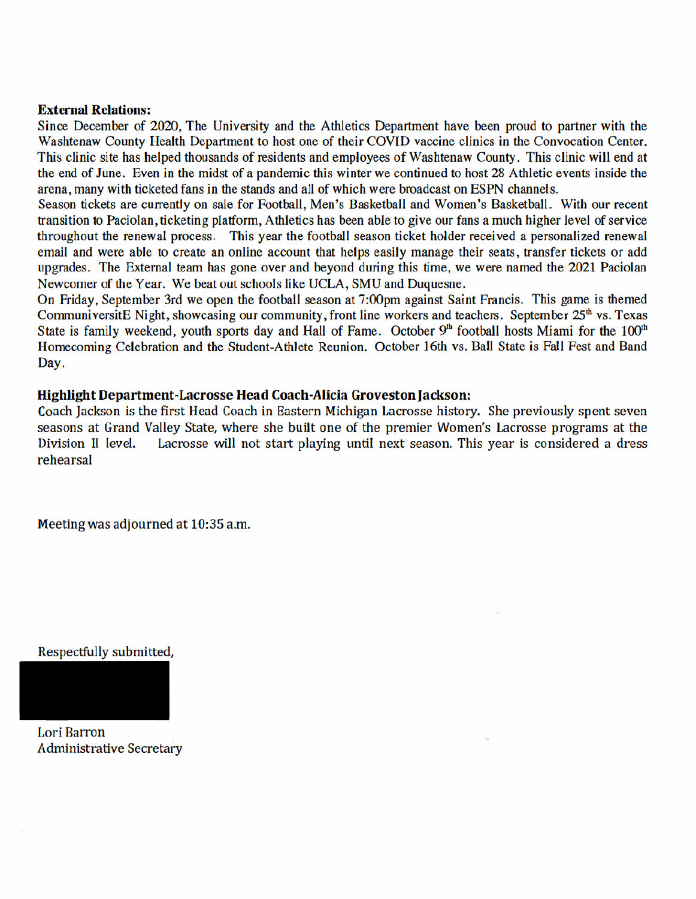#### **External Relations:**

Since December of 2020, The University and the Athletics Department have been proud to partner with the Washtenaw County Health Department to host one of their COVID vaccine clinics in the Convocation Center. This clinic site has helped thousands of residents and employees of Washtenaw County. This clinic will end at the end of June. Even in the midst of a pandemic this winter we continued to host 28 Athletic events inside the arena, many with ticketed fans in the stands and all of which were broadcast on ESPN channels.

Season tickets are currently on sale for Football, Men's Basketball and Women's Basketball. With our recent transition to Paciolan, ticketing platform, Athletics has been able to give our fans a much higher level of service throughout the renewal process. This year the football season ticket holder received a personalized renewal email and were able to create an online account that helps easily manage their seats, transfer tickets or add upgrades. The External team has gone over and beyond during this time, we were named the 2021 Paciolan Newcomer of the Year. We beat out schools like UCLA, SMU and Duquesne.

On Friday, September 3rd we open the football season at 7:00pm against Saint Francis. This game is themed CommuniversitE Night, showcasing our community, front line workers and teachers. September 25<sup>th</sup> vs. Texas State is family weekend, youth sports day and Hall of Fame. October 9<sup>th</sup> football hosts Miami for the 100<sup>th</sup> Homecoming Celebration and the Student-Athlete Reunion. October 16th vs. Ball State is Fall Fest and Band Day.

#### Highlight Department-Lacrosse Head Coach-Alicia Groveston Jackson:

Coach Jackson is the first Head Coach in Eastern Michigan Lacrosse history. She previously spent seven seasons at Grand Valley State, where she built one of the premier Women's Lacrosse programs at the Lacrosse will not start playing until next season. This year is considered a dress Division II level. rehearsal

Meeting was adjourned at 10:35 a.m.

Respectfully submitted,

Lori Barron **Administrative Secretary**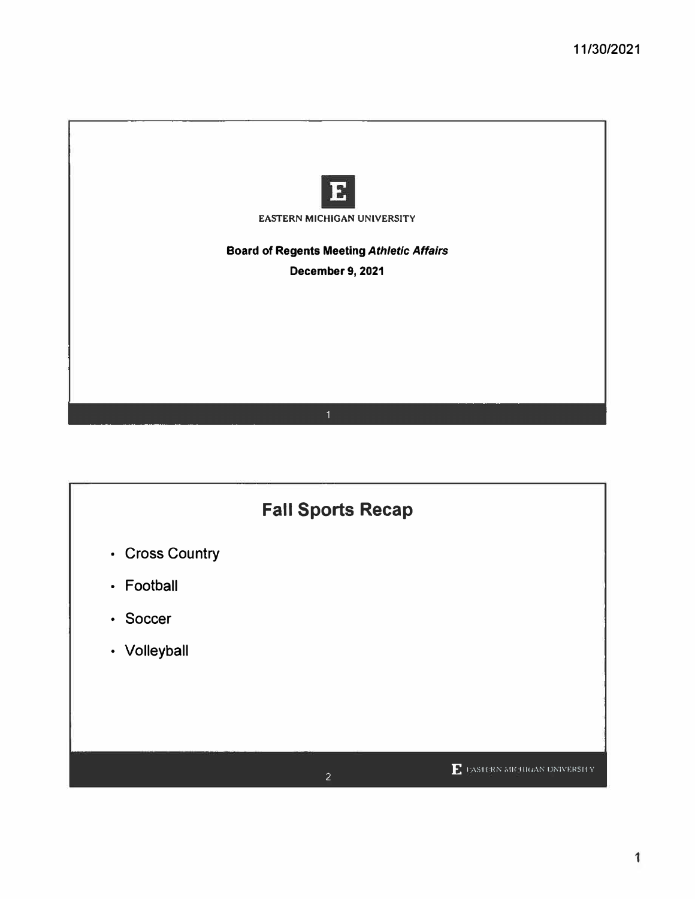

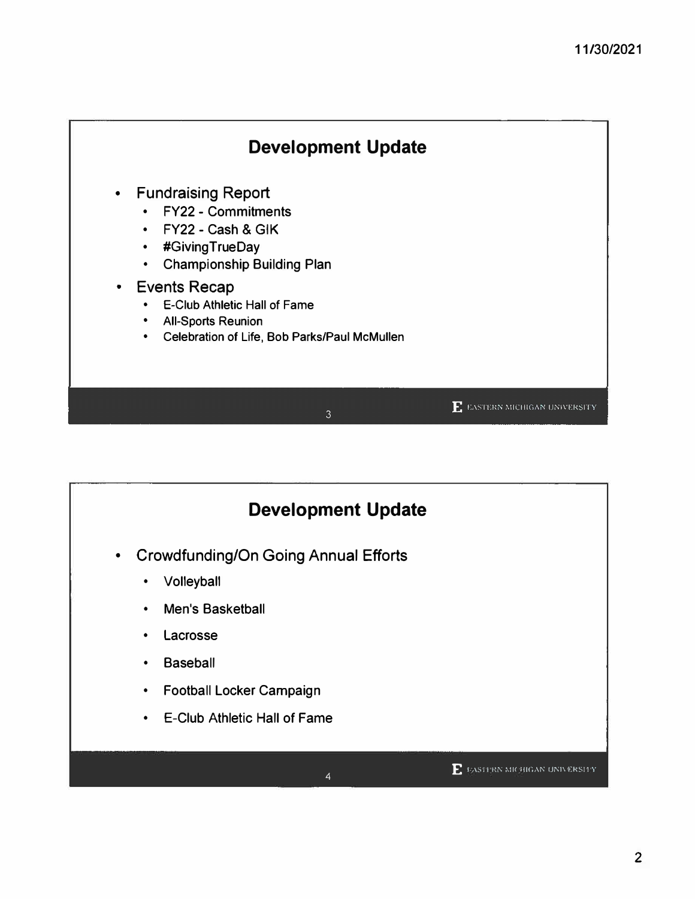

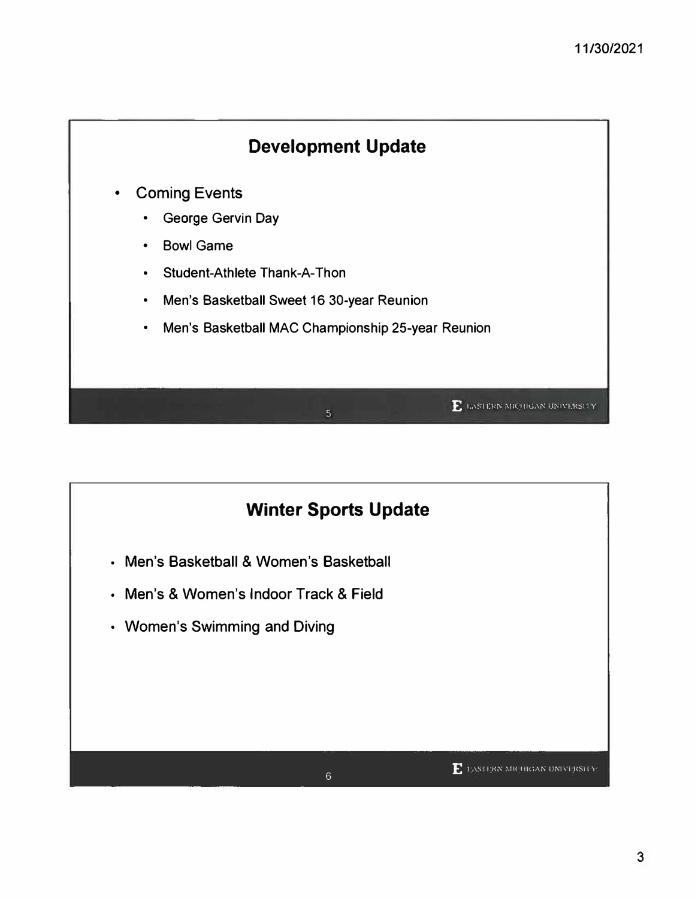

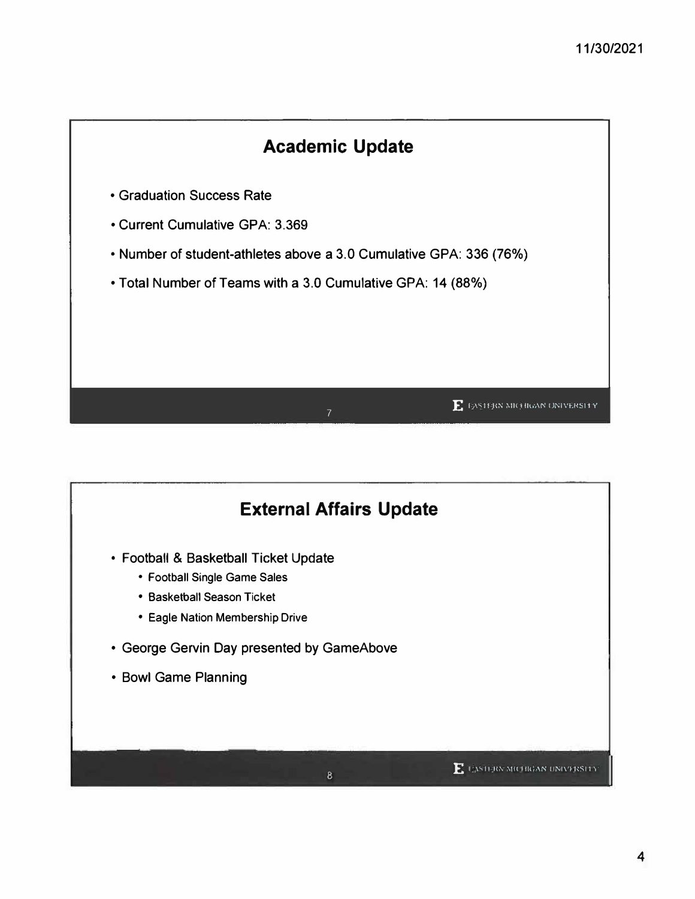